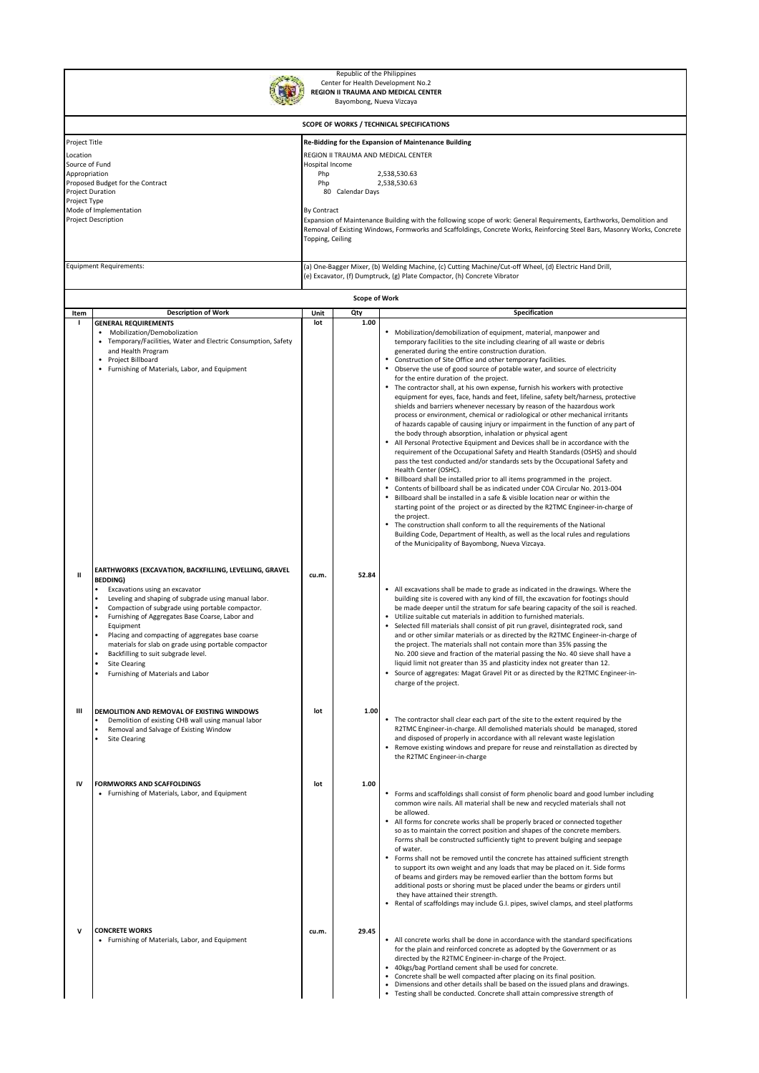| Republic of the Philippines<br>Center for Health Development No.2<br>REGION II TRAUMA AND MEDICAL CENTER<br>Bayombong, Nueva Vizcaya                                                                |                                                                                                                                                                                                                                                                                                                                                                                                                                                                                                         |                                                                                                                            |                                                                                                                                                                                                                                                                                                                                                                                                                                                                                                  |                                                                                                                                                                                                                                                                                                                                                                                                                                                                                                                                                                                                                                                                                                                                                                                                                                                                                                                                                                                                                                                                                                                                                                                                                                                                                                                                                                                                                                                                                                                                                                                                                                                                                                                                                  |  |  |  |  |  |
|-----------------------------------------------------------------------------------------------------------------------------------------------------------------------------------------------------|---------------------------------------------------------------------------------------------------------------------------------------------------------------------------------------------------------------------------------------------------------------------------------------------------------------------------------------------------------------------------------------------------------------------------------------------------------------------------------------------------------|----------------------------------------------------------------------------------------------------------------------------|--------------------------------------------------------------------------------------------------------------------------------------------------------------------------------------------------------------------------------------------------------------------------------------------------------------------------------------------------------------------------------------------------------------------------------------------------------------------------------------------------|--------------------------------------------------------------------------------------------------------------------------------------------------------------------------------------------------------------------------------------------------------------------------------------------------------------------------------------------------------------------------------------------------------------------------------------------------------------------------------------------------------------------------------------------------------------------------------------------------------------------------------------------------------------------------------------------------------------------------------------------------------------------------------------------------------------------------------------------------------------------------------------------------------------------------------------------------------------------------------------------------------------------------------------------------------------------------------------------------------------------------------------------------------------------------------------------------------------------------------------------------------------------------------------------------------------------------------------------------------------------------------------------------------------------------------------------------------------------------------------------------------------------------------------------------------------------------------------------------------------------------------------------------------------------------------------------------------------------------------------------------|--|--|--|--|--|
|                                                                                                                                                                                                     |                                                                                                                                                                                                                                                                                                                                                                                                                                                                                                         |                                                                                                                            |                                                                                                                                                                                                                                                                                                                                                                                                                                                                                                  |                                                                                                                                                                                                                                                                                                                                                                                                                                                                                                                                                                                                                                                                                                                                                                                                                                                                                                                                                                                                                                                                                                                                                                                                                                                                                                                                                                                                                                                                                                                                                                                                                                                                                                                                                  |  |  |  |  |  |
| Project Title<br>Location<br>Source of Fund<br>Appropriation<br>Proposed Budget for the Contract<br><b>Project Duration</b><br>Project Type<br>Mode of Implementation<br><b>Project Description</b> |                                                                                                                                                                                                                                                                                                                                                                                                                                                                                                         |                                                                                                                            | SCOPE OF WORKS / TECHNICAL SPECIFICATIONS<br>Re-Bidding for the Expansion of Maintenance Building<br>REGION II TRAUMA AND MEDICAL CENTER<br>Hospital Income<br>Php<br>2,538,530.63<br>Php<br>2,538,530.63<br>80 Calendar Days<br>By Contract<br>Expansion of Maintenance Building with the following scope of work: General Requirements, Earthworks, Demolition and<br>Removal of Existing Windows, Formworks and Scaffoldings, Concrete Works, Reinforcing Steel Bars, Masonry Works, Concrete |                                                                                                                                                                                                                                                                                                                                                                                                                                                                                                                                                                                                                                                                                                                                                                                                                                                                                                                                                                                                                                                                                                                                                                                                                                                                                                                                                                                                                                                                                                                                                                                                                                                                                                                                                  |  |  |  |  |  |
|                                                                                                                                                                                                     | <b>Equipment Requirements:</b>                                                                                                                                                                                                                                                                                                                                                                                                                                                                          | Topping, Ceiling<br>(a) One-Bagger Mixer, (b) Welding Machine, (c) Cutting Machine/Cut-off Wheel, (d) Electric Hand Drill, |                                                                                                                                                                                                                                                                                                                                                                                                                                                                                                  |                                                                                                                                                                                                                                                                                                                                                                                                                                                                                                                                                                                                                                                                                                                                                                                                                                                                                                                                                                                                                                                                                                                                                                                                                                                                                                                                                                                                                                                                                                                                                                                                                                                                                                                                                  |  |  |  |  |  |
|                                                                                                                                                                                                     |                                                                                                                                                                                                                                                                                                                                                                                                                                                                                                         |                                                                                                                            |                                                                                                                                                                                                                                                                                                                                                                                                                                                                                                  | (e) Excavator, (f) Dumptruck, (g) Plate Compactor, (h) Concrete Vibrator                                                                                                                                                                                                                                                                                                                                                                                                                                                                                                                                                                                                                                                                                                                                                                                                                                                                                                                                                                                                                                                                                                                                                                                                                                                                                                                                                                                                                                                                                                                                                                                                                                                                         |  |  |  |  |  |
|                                                                                                                                                                                                     |                                                                                                                                                                                                                                                                                                                                                                                                                                                                                                         |                                                                                                                            | <b>Scope of Work</b>                                                                                                                                                                                                                                                                                                                                                                                                                                                                             |                                                                                                                                                                                                                                                                                                                                                                                                                                                                                                                                                                                                                                                                                                                                                                                                                                                                                                                                                                                                                                                                                                                                                                                                                                                                                                                                                                                                                                                                                                                                                                                                                                                                                                                                                  |  |  |  |  |  |
| Item                                                                                                                                                                                                | <b>Description of Work</b><br><b>GENERAL REQUIREMENTS</b><br>• Mobilization/Demobolization<br>• Temporary/Facilities, Water and Electric Consumption, Safety<br>and Health Program<br>• Project Billboard<br>Furnishing of Materials, Labor, and Equipment                                                                                                                                                                                                                                              | Unit<br>lot                                                                                                                | Qty<br>1.00                                                                                                                                                                                                                                                                                                                                                                                                                                                                                      | Specification<br>Mobilization/demobilization of equipment, material, manpower and<br>temporary facilities to the site including clearing of all waste or debris<br>generated during the entire construction duration.<br>Construction of Site Office and other temporary facilities.<br>Observe the use of good source of potable water, and source of electricity<br>for the entire duration of the project.<br>The contractor shall, at his own expense, furnish his workers with protective<br>equipment for eyes, face, hands and feet, lifeline, safety belt/harness, protective<br>shields and barriers whenever necessary by reason of the hazardous work<br>process or environment, chemical or radiological or other mechanical irritants<br>of hazards capable of causing injury or impairment in the function of any part of<br>the body through absorption, inhalation or physical agent<br>All Personal Protective Equipment and Devices shall be in accordance with the<br>requirement of the Occupational Safety and Health Standards (OSHS) and should<br>pass the test conducted and/or standards sets by the Occupational Safety and<br>Health Center (OSHC).<br>Billboard shall be installed prior to all items programmed in the project.<br>Contents of billboard shall be as indicated under COA Circular No. 2013-004<br>Billboard shall be installed in a safe & visible location near or within the<br>starting point of the project or as directed by the R2TMC Engineer-in-charge of<br>the project.<br>The construction shall conform to all the requirements of the National<br>Building Code, Department of Health, as well as the local rules and regulations<br>of the Municipality of Bayombong, Nueva Vizcaya. |  |  |  |  |  |
| ш                                                                                                                                                                                                   | EARTHWORKS (EXCAVATION, BACKFILLING, LEVELLING, GRAVEL<br><b>BEDDING)</b><br>Excavations using an excavator<br>Leveling and shaping of subgrade using manual labor.<br>Compaction of subgrade using portable compactor.<br>Furnishing of Aggregates Base Coarse, Labor and<br>Equipment<br>Placing and compacting of aggregates base coarse<br>materials for slab on grade using portable compactor<br>Backfilling to suit subgrade level.<br><b>Site Clearing</b><br>Furnishing of Materials and Labor | cu.m.                                                                                                                      | 52.84                                                                                                                                                                                                                                                                                                                                                                                                                                                                                            | • All excavations shall be made to grade as indicated in the drawings. Where the<br>building site is covered with any kind of fill, the excavation for footings should<br>be made deeper until the stratum for safe bearing capacity of the soil is reached.<br>Utilize suitable cut materials in addition to furnished materials.<br>Selected fill materials shall consist of pit run gravel, disintegrated rock, sand<br>and or other similar materials or as directed by the R2TMC Engineer-in-charge of<br>the project. The materials shall not contain more than 35% passing the<br>No. 200 sieve and fraction of the material passing the No. 40 sieve shall have a<br>liquid limit not greater than 35 and plasticity index not greater than 12.<br>• Source of aggregates: Magat Gravel Pit or as directed by the R2TMC Engineer-in-<br>charge of the project.                                                                                                                                                                                                                                                                                                                                                                                                                                                                                                                                                                                                                                                                                                                                                                                                                                                                           |  |  |  |  |  |
| Ш                                                                                                                                                                                                   | DEMOLITION AND REMOVAL OF EXISTING WINDOWS<br>Demolition of existing CHB wall using manual labor<br>Removal and Salvage of Existing Window<br><b>Site Clearing</b>                                                                                                                                                                                                                                                                                                                                      | lot                                                                                                                        | 1.00                                                                                                                                                                                                                                                                                                                                                                                                                                                                                             | • The contractor shall clear each part of the site to the extent required by the<br>R2TMC Engineer-in-charge. All demolished materials should be managed, stored<br>and disposed of properly in accordance with all relevant waste legislation<br>Remove existing windows and prepare for reuse and reinstallation as directed by<br>the R2TMC Engineer-in-charge                                                                                                                                                                                                                                                                                                                                                                                                                                                                                                                                                                                                                                                                                                                                                                                                                                                                                                                                                                                                                                                                                                                                                                                                                                                                                                                                                                                |  |  |  |  |  |
| IV                                                                                                                                                                                                  | <b>FORMWORKS AND SCAFFOLDINGS</b><br>• Furnishing of Materials, Labor, and Equipment                                                                                                                                                                                                                                                                                                                                                                                                                    | lot                                                                                                                        | 1.00                                                                                                                                                                                                                                                                                                                                                                                                                                                                                             | • Forms and scaffoldings shall consist of form phenolic board and good lumber including<br>common wire nails. All material shall be new and recycled materials shall not<br>be allowed.<br>All forms for concrete works shall be properly braced or connected together<br>so as to maintain the correct position and shapes of the concrete members.<br>Forms shall be constructed sufficiently tight to prevent bulging and seepage<br>of water.<br>Forms shall not be removed until the concrete has attained sufficient strength<br>to support its own weight and any loads that may be placed on it. Side forms<br>of beams and girders may be removed earlier than the bottom forms but<br>additional posts or shoring must be placed under the beams or girders until<br>they have attained their strength.<br>Rental of scaffoldings may include G.I. pipes, swivel clamps, and steel platforms                                                                                                                                                                                                                                                                                                                                                                                                                                                                                                                                                                                                                                                                                                                                                                                                                                           |  |  |  |  |  |
| v                                                                                                                                                                                                   | <b>CONCRETE WORKS</b><br>• Furnishing of Materials, Labor, and Equipment                                                                                                                                                                                                                                                                                                                                                                                                                                | cu.m.                                                                                                                      | 29.45                                                                                                                                                                                                                                                                                                                                                                                                                                                                                            | • All concrete works shall be done in accordance with the standard specifications<br>for the plain and reinforced concrete as adopted by the Government or as<br>directed by the R2TMC Engineer-in-charge of the Project.<br>40kgs/bag Portland cement shall be used for concrete.<br>Concrete shall be well compacted after placing on its final position.<br>$\bullet$<br>Dimensions and other details shall be based on the issued plans and drawings.<br>Testing shall be conducted. Concrete shall attain compressive strength of                                                                                                                                                                                                                                                                                                                                                                                                                                                                                                                                                                                                                                                                                                                                                                                                                                                                                                                                                                                                                                                                                                                                                                                                           |  |  |  |  |  |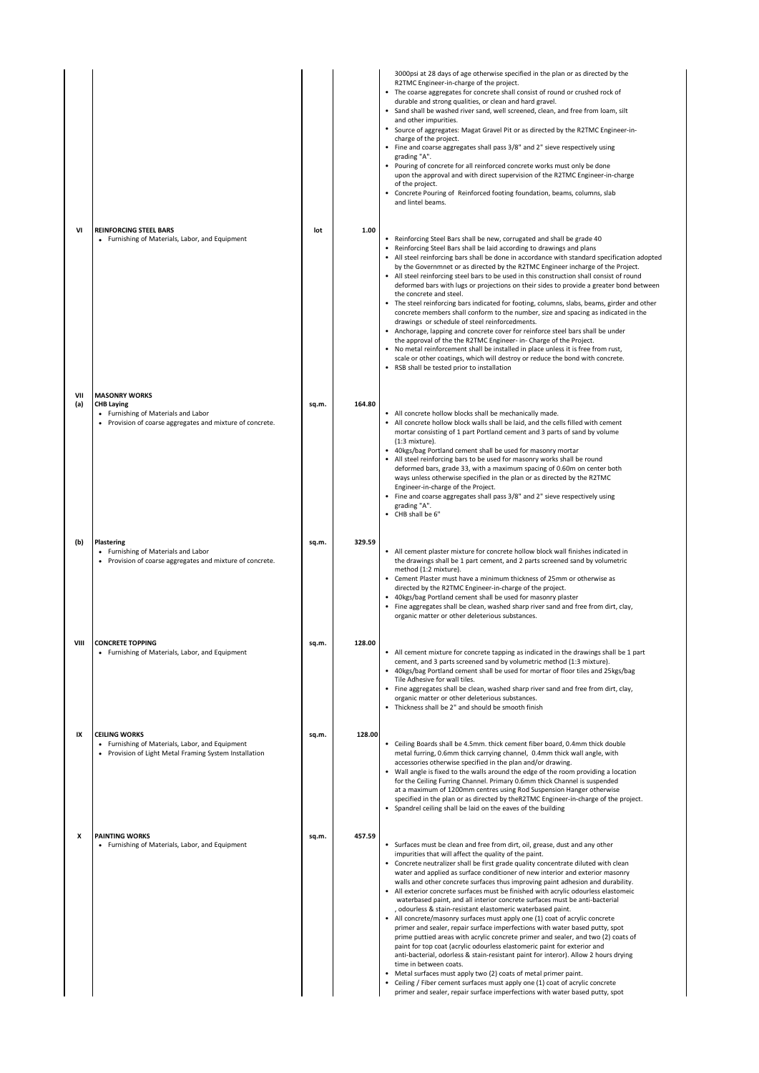| VI         | <b>REINFORCING STEEL BARS</b><br>• Furnishing of Materials, Labor, and Equipment                                                              | lot   | 1.00   | 3000psi at 28 days of age otherwise specified in the plan or as directed by the<br>R2TMC Engineer-in-charge of the project.<br>• The coarse aggregates for concrete shall consist of round or crushed rock of<br>durable and strong qualities, or clean and hard gravel.<br>• Sand shall be washed river sand, well screened, clean, and free from loam, silt<br>and other impurities.<br>• Source of aggregates: Magat Gravel Pit or as directed by the R2TMC Engineer-in-<br>charge of the project.<br>• Fine and coarse aggregates shall pass 3/8" and 2" sieve respectively using<br>grading "A".<br>Pouring of concrete for all reinforced concrete works must only be done<br>upon the approval and with direct supervision of the R2TMC Engineer-in-charge<br>of the project.<br>• Concrete Pouring of Reinforced footing foundation, beams, columns, slab<br>and lintel beams.<br>• Reinforcing Steel Bars shall be new, corrugated and shall be grade 40                                                                                                                                                                                                                                                                                                                                                        |
|------------|-----------------------------------------------------------------------------------------------------------------------------------------------|-------|--------|--------------------------------------------------------------------------------------------------------------------------------------------------------------------------------------------------------------------------------------------------------------------------------------------------------------------------------------------------------------------------------------------------------------------------------------------------------------------------------------------------------------------------------------------------------------------------------------------------------------------------------------------------------------------------------------------------------------------------------------------------------------------------------------------------------------------------------------------------------------------------------------------------------------------------------------------------------------------------------------------------------------------------------------------------------------------------------------------------------------------------------------------------------------------------------------------------------------------------------------------------------------------------------------------------------------------------|
|            |                                                                                                                                               |       |        | • Reinforcing Steel Bars shall be laid according to drawings and plans<br>• All steel reinforcing bars shall be done in accordance with standard specification adopted<br>by the Governmnet or as directed by the R2TMC Engineer incharge of the Project.<br>• All steel reinforcing steel bars to be used in this construction shall consist of round<br>deformed bars with lugs or projections on their sides to provide a greater bond between<br>the concrete and steel.<br>• The steel reinforcing bars indicated for footing, columns, slabs, beams, girder and other<br>concrete members shall conform to the number, size and spacing as indicated in the<br>drawings or schedule of steel reinforcedments.<br>• Anchorage, lapping and concrete cover for reinforce steel bars shall be under<br>the approval of the the R2TMC Engineer- in- Charge of the Project.<br>No metal reinforcement shall be installed in place unless it is free from rust,<br>scale or other coatings, which will destroy or reduce the bond with concrete.<br>• RSB shall be tested prior to installation                                                                                                                                                                                                                          |
| VII<br>(a) | <b>MASONRY WORKS</b><br><b>CHB Laying</b><br>• Furnishing of Materials and Labor<br>• Provision of coarse aggregates and mixture of concrete. | sq.m. | 164.80 | • All concrete hollow blocks shall be mechanically made.<br>• All concrete hollow block walls shall be laid, and the cells filled with cement<br>mortar consisting of 1 part Portland cement and 3 parts of sand by volume<br>$(1:3$ mixture).<br>• 40kgs/bag Portland cement shall be used for masonry mortar<br>• All steel reinforcing bars to be used for masonry works shall be round<br>deformed bars, grade 33, with a maximum spacing of 0.60m on center both<br>ways unless otherwise specified in the plan or as directed by the R2TMC<br>Engineer-in-charge of the Project.<br>• Fine and coarse aggregates shall pass 3/8" and 2" sieve respectively using<br>grading "A".<br>• CHB shall be 6"                                                                                                                                                                                                                                                                                                                                                                                                                                                                                                                                                                                                              |
| (b)        | Plastering<br>• Furnishing of Materials and Labor<br>• Provision of coarse aggregates and mixture of concrete.                                | sq.m. | 329.59 | • All cement plaster mixture for concrete hollow block wall finishes indicated in<br>the drawings shall be 1 part cement, and 2 parts screened sand by volumetric<br>method (1:2 mixture).<br>• Cement Plaster must have a minimum thickness of 25mm or otherwise as<br>directed by the R2TMC Engineer-in-charge of the project.<br>• 40kgs/bag Portland cement shall be used for masonry plaster<br>• Fine aggregates shall be clean, washed sharp river sand and free from dirt, clay,<br>organic matter or other deleterious substances.                                                                                                                                                                                                                                                                                                                                                                                                                                                                                                                                                                                                                                                                                                                                                                              |
| VIII       | <b>CONCRETE TOPPING</b><br>• Furnishing of Materials, Labor, and Equipment                                                                    | sq.m. | 128.00 | • All cement mixture for concrete tapping as indicated in the drawings shall be 1 part<br>cement, and 3 parts screened sand by volumetric method (1:3 mixture).<br>40kgs/bag Portland cement shall be used for mortar of floor tiles and 25kgs/bag<br>Tile Adhesive for wall tiles.<br>• Fine aggregates shall be clean, washed sharp river sand and free from dirt, clay,<br>organic matter or other deleterious substances.<br>• Thickness shall be 2" and should be smooth finish                                                                                                                                                                                                                                                                                                                                                                                                                                                                                                                                                                                                                                                                                                                                                                                                                                     |
| IX         | <b>CEILING WORKS</b><br>• Furnishing of Materials, Labor, and Equipment<br>• Provision of Light Metal Framing System Installation             | sq.m. | 128.00 | • Ceiling Boards shall be 4.5mm. thick cement fiber board, 0.4mm thick double<br>metal furring, 0.6mm thick carrying channel, 0.4mm thick wall angle, with<br>accessories otherwise specified in the plan and/or drawing.<br>• Wall angle is fixed to the walls around the edge of the room providing a location<br>for the Ceiling Furring Channel. Primary 0.6mm thick Channel is suspended<br>at a maximum of 1200mm centres using Rod Suspension Hanger otherwise<br>specified in the plan or as directed by the R2TMC Engineer-in-charge of the project.<br>• Spandrel ceiling shall be laid on the eaves of the building                                                                                                                                                                                                                                                                                                                                                                                                                                                                                                                                                                                                                                                                                           |
| x          | <b>PAINTING WORKS</b><br>• Furnishing of Materials, Labor, and Equipment                                                                      | sq.m. | 457.59 | • Surfaces must be clean and free from dirt, oil, grease, dust and any other<br>impurities that will affect the quality of the paint.<br>• Concrete neutralizer shall be first grade quality concentrate diluted with clean<br>water and applied as surface conditioner of new interior and exterior masonry<br>walls and other concrete surfaces thus improving paint adhesion and durability.<br>• All exterior concrete surfaces must be finished with acrylic odourless elastomeic<br>waterbased paint, and all interior concrete surfaces must be anti-bacterial<br>, odourless & stain-resistant elastomeric waterbased paint.<br>• All concrete/masonry surfaces must apply one (1) coat of acrylic concrete<br>primer and sealer, repair surface imperfections with water based putty, spot<br>prime puttied areas with acrylic concrete primer and sealer, and two (2) coats of<br>paint for top coat (acrylic odourless elastomeric paint for exterior and<br>anti-bacterial, odorless & stain-resistant paint for interor). Allow 2 hours drying<br>time in between coats.<br>• Metal surfaces must apply two (2) coats of metal primer paint.<br>Ceiling / Fiber cement surfaces must apply one (1) coat of acrylic concrete<br>primer and sealer, repair surface imperfections with water based putty, spot |